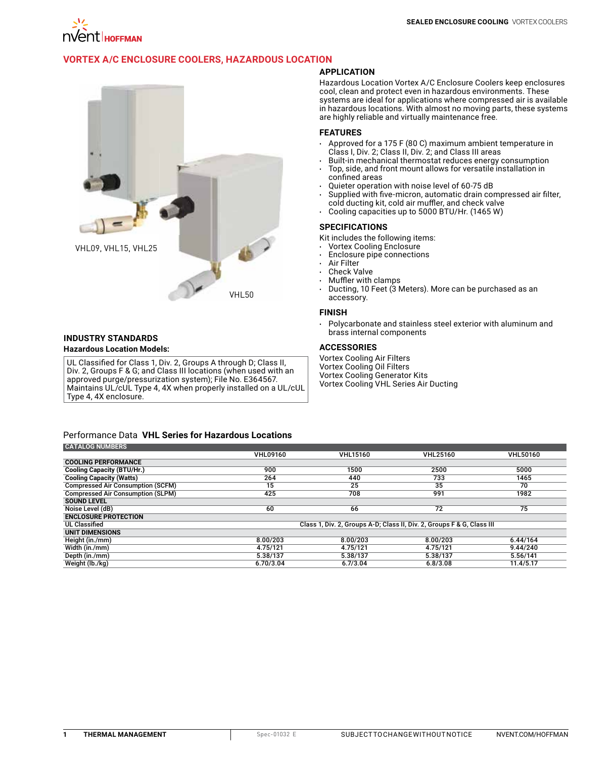

# **VORTEX A/C ENCLOSURE [COOLERS, HAZARDOUS LOCATION](http://hoffman.nvent.com/en/hoffman/Vortex-A-C-Enclosure-Coolers-Hazardous-Location)**



#### **INDUSTRY STANDARDS Hazardous Location Models:**

UL Classified for Class 1, Div. 2, Groups A through D; Class II, Div. 2, Groups F & G; and Class III locations (when used with an approved purge/pressurization system); File No. E364567. Maintains UL/cUL Type 4, 4X when properly installed on a UL/cUL Type 4, 4X enclosure.

## **APPLICATION**

Hazardous Location Vortex A/C Enclosure Coolers keep enclosures cool, clean and protect even in hazardous environments. These systems are ideal for applications where compressed air is available in hazardous locations. With almost no moving parts, these systems are highly reliable and virtually maintenance free.

## **FEATURES**

- Approved for a 175 F (80 C) maximum ambient temperature in Class I, Div. 2; Class II, Div. 2; and Class III areas
- Built-in mechanical thermostat reduces energy consumption
- Top, side, and front mount allows for versatile installation in confined areas
- Quieter operation with noise level of 60-75 dB
- Supplied with five-micron, automatic drain compressed air filter, cold ducting kit, cold air muffler, and check valve
- Cooling capacities up to 5000 BTU/Hr. (1465 W)

#### **SPECIFICATIONS**

Kit includes the following items:

- Vortex Cooling Enclosure
- Enclosure pipe connections
- **Air Filter**
- Check Valve
- Muffler with clamps
- Ducting, 10 Feet (3 Meters). More can be purchased as an accessory.

#### **FINISH**

• Polycarbonate and stainless steel exterior with aluminum and brass internal components

## **ACCESSORIES**

Vortex Cooling Air Filters Vortex Cooling Oil Filters Vortex Cooling Generator Kits Vortex Cooling VHL Series Air Ducting

#### Performance Data **VHL Series for Hazardous Locations CATALOG NUMBERS**

| <b>UATALUG NUMBERG</b>                   |                                                                        |                 |                 |                 |
|------------------------------------------|------------------------------------------------------------------------|-----------------|-----------------|-----------------|
|                                          | <b>VHL09160</b>                                                        | <b>VHL15160</b> | <b>VHL25160</b> | <b>VHL50160</b> |
| <b>COOLING PERFORMANCE</b>               |                                                                        |                 |                 |                 |
| <b>Cooling Capacity (BTU/Hr.)</b>        | 900                                                                    | 1500            | 2500            | 5000            |
| <b>Cooling Capacity (Watts)</b>          | 264                                                                    | 440             | 733             | 1465            |
| <b>Compressed Air Consumption (SCFM)</b> | 15                                                                     | 25              | 35              | 70              |
| <b>Compressed Air Consumption (SLPM)</b> | 425                                                                    | 708             | 991             | 1982            |
| <b>SOUND LEVEL</b>                       |                                                                        |                 |                 |                 |
| Noise Level (dB)                         | 60                                                                     | 66              | $\overline{72}$ | 75              |
| <b>ENCLOSURE PROTECTION</b>              |                                                                        |                 |                 |                 |
| <b>UL Classified</b>                     | Class 1, Div. 2, Groups A-D; Class II, Div. 2, Groups F & G, Class III |                 |                 |                 |
| UNIT DIMENSIONS                          |                                                                        |                 |                 |                 |
| Height (in./mm)                          | 8.00/203                                                               | 8.00/203        | 8.00/203        | 6.44/164        |
| Width (in./mm)                           | 4.75/121                                                               | 4.75/121        | 4.75/121        | 9.44/240        |
| Depth (in./mm)                           | 5.38/137                                                               | 5.38/137        | 5.38/137        | 5.56/141        |
| Weight (lb./kg)                          | 6.70/3.04                                                              | 6.7/3.04        | 6.8/3.08        | 11.4/5.17       |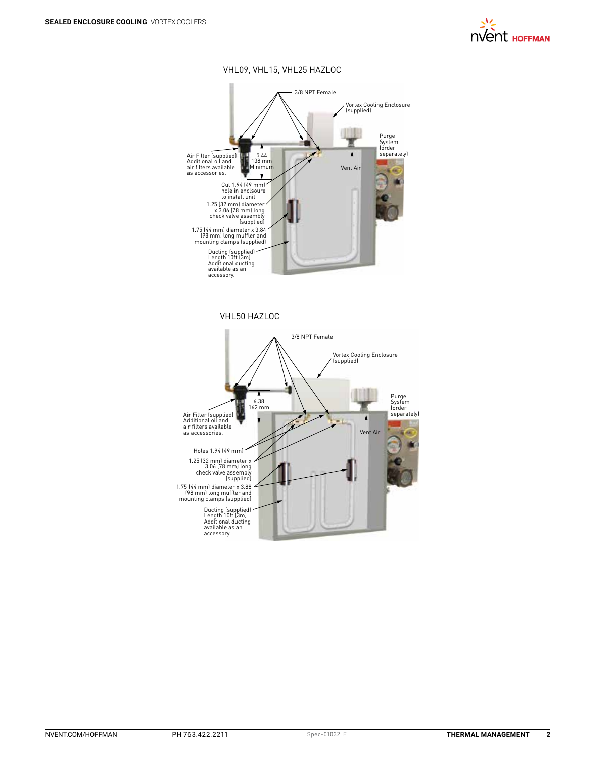

## VHL09, VHL15, VHL25 HAZLOC



VHL50 HAZLOC

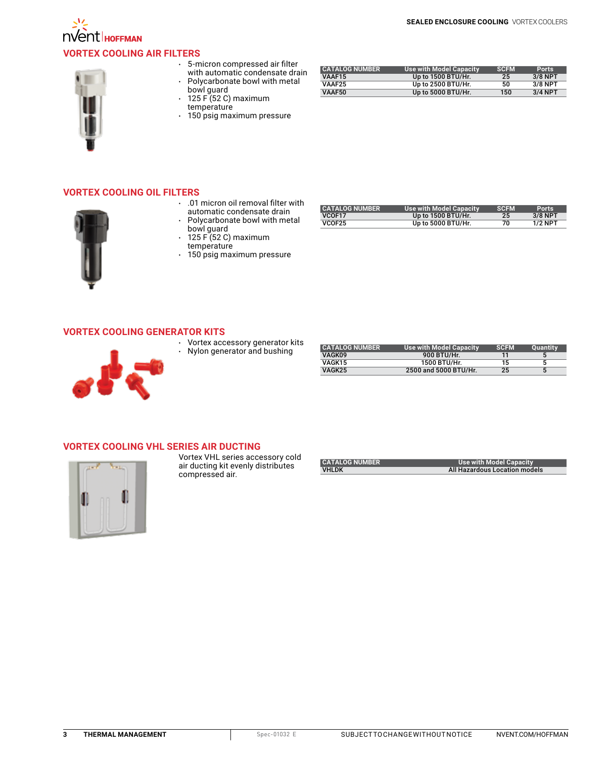

# **NOCOLL**HOFFMAN **VORTEX COOLING [AIR FILTERS](http://hoffman.nvent.com/en/hoffman/compressed-air-filters-414189)**



- 5-micron compressed air filter with automatic condensate drain
- Polycarbonate bowl with metal
- bowl guard • 125 F (52 C) maximum temperature
- 150 psig maximum pressure

| <b>CATALOG NUMBER</b> | <b>Use with Model Capacity</b> | <b>SCEM</b> | <b>Ports</b> |
|-----------------------|--------------------------------|-------------|--------------|
| VAAF15                | Up to 1500 BTU/Hr.             | 25          | $3/8$ NPT    |
| VAAF <sub>25</sub>    | Up to 2500 BTU/Hr.             | 50          | $3/8$ NPT    |
| VAAF50                | Up to 5000 BTU/Hr.             | 150         | $3/4$ NPT    |

## **VORTEX COOLING [OIL FILTERS](http://hoffman.nvent.com/en/hoffman/oil-filters-414190)**



- .01 micron oil removal filter with automatic condensate drain • Polycarbonate bowl with metal
- bowl guard • 125 F (52 C) maximum
- temperature
- 150 psig maximum pressure

| <b>CATALOG NUMBER</b> | <b>Use with Model Capacity</b> | <b>SCEM</b> | <b>Ports</b> |
|-----------------------|--------------------------------|-------------|--------------|
| VCOF17                | Up to 1500 BTU/Hr.             | 25          | $3/8$ NPT    |
| VCOF25                | Up to 5000 BTU/Hr.             | 70          | $1/2$ NPT    |

## **VORTEX COOLING [GENERATOR KITS](http://hoffman.nvent.com/en/hoffman/generator-kit-414192)**



- Vortex accessory generator kits
- **A** Nylon generator and bushing

| <b>CATALOG NUMBER</b> | Use with Model Capacity | <b>SCEM</b> | Quantity |
|-----------------------|-------------------------|-------------|----------|
| VAGK09                | 900 BTU/Hr.             |             |          |
| VAGK15                | 1500 BTU/Hr.            | 15          |          |
| VAGK25                | 2500 and 5000 BTU/Hr.   | 25          |          |

## **[VORTEX COOLING VHL SERIES AIR](http://hoffman.nvent.com/en/hoffman/vortex-cooling-vhl-series-air-ducting-437393) DUCTING**



Vortex VHL series accessory cold air ducting kit evenly distributes compressed air.

| <b>CATALOG NUMBER</b> | Use with Model Capacity       |
|-----------------------|-------------------------------|
| <b>VHLDK</b>          | All Hazardous Location models |